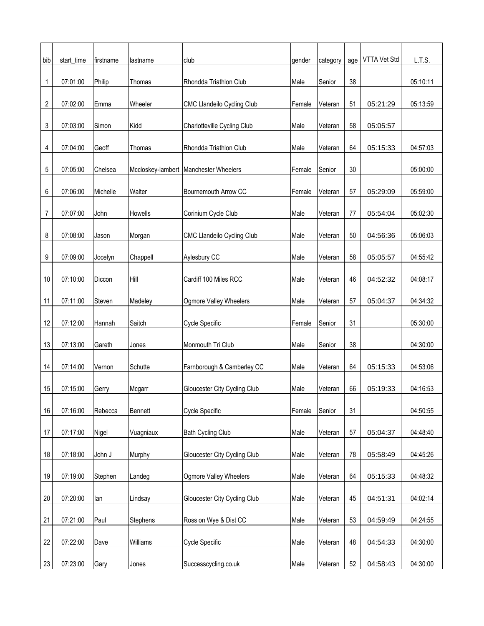| bib | start_time | firstname | lastname  | lclub                                   | gender | category | age | VTTA Vet Std | L.T.S.   |
|-----|------------|-----------|-----------|-----------------------------------------|--------|----------|-----|--------------|----------|
| 1   | 07:01:00   | Philip    | Thomas    | Rhondda Triathlon Club                  | Male   | Senior   | 38  |              | 05:10:11 |
|     |            |           |           |                                         |        |          |     |              |          |
| 2   | 07:02:00   | Emma      | Wheeler   | <b>CMC Llandeilo Cycling Club</b>       | Female | Veteran  | 51  | 05:21:29     | 05:13:59 |
| 3   | 07:03:00   | Simon     | Kidd      | Charlotteville Cycling Club             | Male   | Veteran  | 58  | 05:05:57     |          |
|     |            |           |           |                                         |        |          |     |              |          |
| 4   | 07:04:00   | Geoff     | Thomas    | Rhondda Triathlon Club                  | Male   | Veteran  | 64  | 05:15:33     | 04:57:03 |
|     |            |           |           |                                         |        |          |     |              |          |
| 5   | 07:05:00   | Chelsea   |           | Mccloskey-lambert   Manchester Wheelers | Female | Senior   | 30  |              | 05:00:00 |
| 6   | 07:06:00   | Michelle  | Walter    | Bournemouth Arrow CC                    | Female | Veteran  | 57  | 05:29:09     | 05:59:00 |
|     |            |           |           |                                         |        |          |     |              |          |
| 7   | 07:07:00   | John      | Howells   | Corinium Cycle Club                     | Male   | Veteran  | 77  | 05:54:04     | 05:02:30 |
| 8   | 07:08:00   | Jason     | Morgan    | <b>CMC Llandeilo Cycling Club</b>       | Male   | Veteran  | 50  | 04:56:36     | 05:06:03 |
|     |            |           |           |                                         |        |          |     |              |          |
| 9   | 07:09:00   | Jocelyn   | Chappell  | Aylesbury CC                            | Male   | Veteran  | 58  | 05:05:57     | 04:55:42 |
|     |            |           |           |                                         |        |          |     |              |          |
| 10  | 07:10:00   | Diccon    | Hill      | Cardiff 100 Miles RCC                   | Male   | Veteran  | 46  | 04:52:32     | 04:08:17 |
| 11  | 07:11:00   | Steven    | Madeley   | Ogmore Valley Wheelers                  | Male   | Veteran  | 57  | 05:04:37     | 04:34:32 |
|     |            |           |           |                                         |        |          |     |              |          |
| 12  | 07:12:00   | Hannah    | Saitch    | Cycle Specific                          | Female | Senior   | 31  |              | 05:30:00 |
| 13  | 07:13:00   | Gareth    | Jones     | Monmouth Tri Club                       | Male   | Senior   | 38  |              | 04:30:00 |
|     |            |           |           |                                         |        |          |     |              |          |
| 14  | 07:14:00   | Vernon    | Schutte   | Farnborough & Camberley CC              | Male   | Veteran  | 64  | 05:15:33     | 04:53:06 |
|     |            |           |           |                                         |        |          |     |              |          |
| 15  | 07:15:00   | Gerry     | Mcgarr    | Gloucester City Cycling Club            | Male   | Veteran  | 66  | 05:19:33     | 04:16:53 |
| 16  | 07:16:00   | Rebecca   | Bennett   | Cycle Specific                          | Female | Senior   | 31  |              | 04:50:55 |
|     |            |           |           |                                         |        |          |     |              |          |
| 17  | 07:17:00   | Nigel     | Vuagniaux | <b>Bath Cycling Club</b>                | Male   | Veteran  | 57  | 05:04:37     | 04:48:40 |
| 18  | 07:18:00   | John J    | Murphy    | Gloucester City Cycling Club            | Male   | Veteran  | 78  | 05:58:49     | 04:45:26 |
|     |            |           |           |                                         |        |          |     |              |          |
| 19  | 07:19:00   | Stephen   | Landeg    | Ogmore Valley Wheelers                  | Male   | Veteran  | 64  | 05:15:33     | 04:48:32 |
|     |            |           |           |                                         |        |          |     |              |          |
| 20  | 07:20:00   | lan       | Lindsay   | Gloucester City Cycling Club            | Male   | Veteran  | 45  | 04:51:31     | 04:02:14 |
| 21  | 07:21:00   | Paul      | Stephens  | Ross on Wye & Dist CC                   | Male   | Veteran  | 53  | 04:59:49     | 04:24:55 |
|     |            |           |           |                                         |        |          |     |              |          |
| 22  | 07:22:00   | Dave      | Williams  | Cycle Specific                          | Male   | Veteran  | 48  | 04:54:33     | 04:30:00 |
| 23  | 07:23:00   | Gary      | Jones     | Successcycling.co.uk                    | Male   | Veteran  | 52  | 04:58:43     | 04:30:00 |
|     |            |           |           |                                         |        |          |     |              |          |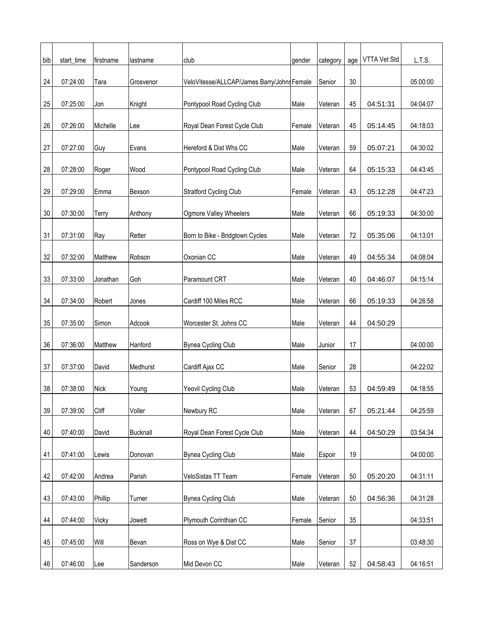| bib | start_time | firstname   | lastname        | lclub                                      | gender | category | age | VTTA Vet Std | L.T.S.   |
|-----|------------|-------------|-----------------|--------------------------------------------|--------|----------|-----|--------------|----------|
|     |            |             |                 |                                            |        |          |     |              |          |
| 24  | 07:24:00   | Tara        | Grosvenor       | VeloVitesse/ALLCAP/James Barry/JohnsFemale |        | Senior   | 30  |              | 05:00:00 |
| 25  | 07:25:00   | Jon         | Knight          | Pontypool Road Cycling Club                | Male   | Veteran  | 45  | 04:51:31     | 04:04:07 |
| 26  | 07:26:00   | Michelle    | Lee             | Royal Dean Forest Cycle Club               | Female | Veteran  | 45  | 05:14:45     | 04:18:03 |
| 27  | 07:27:00   | Guy         | Evans           | Hereford & Dist Whs CC                     | Male   | Veteran  | 59  | 05:07:21     | 04:30:02 |
|     |            |             |                 |                                            |        |          |     |              |          |
| 28  | 07:28:00   | Roger       | Wood            | Pontypool Road Cycling Club                | Male   | Veteran  | 64  | 05:15:33     | 04:43:45 |
| 29  | 07:29:00   | Emma        | Bexson          | Stratford Cycling Club                     | Female | Veteran  | 43  | 05:12:28     | 04:47:23 |
| 30  | 07:30:00   | Terry       | Anthony         | Ogmore Valley Wheelers                     | Male   | Veteran  | 66  | 05:19:33     | 04:30:00 |
|     |            |             |                 |                                            |        |          |     |              |          |
| 31  | 07:31:00   | Ray         | Retter          | Born to Bike - Bridgtown Cycles            | Male   | Veteran  | 72  | 05:35:06     | 04:13:01 |
| 32  | 07:32:00   | Matthew     | Robson          | Oxonian CC                                 | Male   | Veteran  | 49  | 04:55:34     | 04:08:04 |
|     |            |             |                 |                                            |        |          |     |              |          |
| 33  | 07:33:00   | Jonathan    | Goh             | Paramount CRT                              | Male   | Veteran  | 40  | 04:46:07     | 04:15:14 |
| 34  | 07:34:00   | Robert      | Jones           | Cardiff 100 Miles RCC                      | Male   | Veteran  | 66  | 05:19:33     | 04:26:58 |
|     |            |             |                 |                                            |        |          |     |              |          |
| 35  | 07:35:00   | Simon       | Adcook          | Worcester St. Johns CC                     | Male   | Veteran  | 44  | 04:50:29     |          |
| 36  | 07:36:00   | Matthew     | Hanford         | Bynea Cycling Club                         | Male   | Junior   | 17  |              | 04:00:00 |
|     |            |             |                 |                                            |        |          |     |              |          |
| 37  | 07:37:00   | David       | Medhurst        | Cardiff Ajax CC                            | Male   | Senior   | 28  |              | 04:22:02 |
| 38  | 07:38:00   | <b>Nick</b> | Young           | Yeovil Cycling Club                        | Male   | Veteran  | 53  | 04:59:49     | 04:18:55 |
|     |            |             |                 |                                            |        |          |     |              |          |
| 39  | 07:39:00   | Cliff       | Voller          | Newbury RC                                 | Male   | Veteran  | 67  | 05:21:44     | 04:25:59 |
| 40  | 07:40:00   | David       | <b>Bucknall</b> | Royal Dean Forest Cycle Club               | Male   | Veteran  | 44  | 04:50:29     | 03:54:34 |
|     |            |             |                 |                                            |        |          |     |              |          |
| 41  | 07:41:00   | Lewis       | Donovan         | Bynea Cycling Club                         | Male   | Espoir   | 19  |              | 04:00:00 |
| 42  | 07:42:00   | Andrea      | Parish          | VeloSistas TT Team                         | Female | Veteran  | 50  | 05:20:20     | 04:31:11 |
|     |            |             |                 |                                            |        |          |     |              |          |
| 43  | 07:43:00   | Phillip     | Turner          | Bynea Cycling Club                         | Male   | Veteran  | 50  | 04:56:36     | 04:31:28 |
| 44  | 07:44:00   | Vicky       | Jowett          | Plymouth Corinthian CC                     | Female | Senior   | 35  |              | 04:33:51 |
|     |            |             |                 |                                            |        |          |     |              |          |
| 45  | 07:45:00   | Will        | Bevan           | Ross on Wye & Dist CC                      | Male   | Senior   | 37  |              | 03:48:30 |
| 46  | 07:46:00   | Lee         | Sanderson       | Mid Devon CC                               | Male   | Veteran  | 52  | 04:58:43     | 04:16:51 |
|     |            |             |                 |                                            |        |          |     |              |          |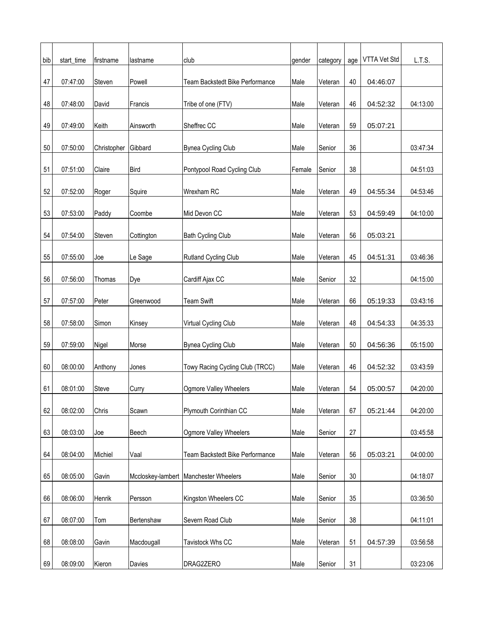| bib | start_time | firstname   | lastname    | club                                    | gender | category | age    | VTTA Vet Std | L.T.S.   |
|-----|------------|-------------|-------------|-----------------------------------------|--------|----------|--------|--------------|----------|
|     |            |             |             |                                         |        |          |        |              |          |
| 47  | 07:47:00   | Steven      | Powell      | Team Backstedt Bike Performance         | Male   | Veteran  | 40     | 04:46:07     |          |
| 48  | 07:48:00   | David       | Francis     | Tribe of one (FTV)                      | Male   | Veteran  | 46     | 04:52:32     | 04:13:00 |
|     |            |             |             |                                         |        |          |        |              |          |
| 49  | 07:49:00   | Keith       | Ainsworth   | Sheffrec CC                             | Male   | Veteran  | 59     | 05:07:21     |          |
| 50  | 07:50:00   | Christopher | Gibbard     | <b>Bynea Cycling Club</b>               | Male   | Senior   | 36     |              | 03:47:34 |
|     |            |             |             |                                         |        |          |        |              |          |
| 51  | 07:51:00   | Claire      | <b>Bird</b> | Pontypool Road Cycling Club             | Female | Senior   | 38     |              | 04:51:03 |
| 52  | 07:52:00   | Roger       | Squire      | Wrexham RC                              | Male   | Veteran  | 49     | 04:55:34     | 04:53:46 |
|     |            |             |             |                                         |        |          |        |              |          |
| 53  | 07:53:00   | Paddy       | Coombe      | Mid Devon CC                            | Male   | Veteran  | 53     | 04:59:49     | 04:10:00 |
| 54  | 07:54:00   | Steven      | Cottington  | <b>Bath Cycling Club</b>                | Male   | Veteran  | 56     | 05:03:21     |          |
|     |            |             |             |                                         |        |          |        |              |          |
| 55  | 07:55:00   | Joe         | Le Sage     | Rutland Cycling Club                    | Male   | Veteran  | 45     | 04:51:31     | 03:46:36 |
|     | 07:56:00   |             |             |                                         |        | Senior   |        |              | 04:15:00 |
| 56  |            | Thomas      | Dye         | Cardiff Ajax CC                         | Male   |          | 32     |              |          |
| 57  | 07:57:00   | Peter       | Greenwood   | <b>Team Swift</b>                       | Male   | Veteran  | 66     | 05:19:33     | 03:43:16 |
|     |            |             |             |                                         |        |          |        |              |          |
| 58  | 07:58:00   | Simon       | Kinsey      | Virtual Cycling Club                    | Male   | Veteran  | 48     | 04:54:33     | 04:35:33 |
| 59  | 07:59:00   | Nigel       | Morse       | <b>Bynea Cycling Club</b>               | Male   | Veteran  | 50     | 04:56:36     | 05:15:00 |
|     |            |             |             |                                         |        |          |        |              |          |
| 60  | 08:00:00   | Anthony     | Jones       | Towy Racing Cycling Club (TRCC)         | Male   | Veteran  | 46     | 04:52:32     | 03:43:59 |
|     |            |             |             |                                         |        |          |        |              |          |
| 61  | 08:01:00   | Steve       | Curry       | Ogmore Valley Wheelers                  | Male   | Veteran  | 54     | 05:00:57     | 04:20:00 |
| 62  | 08:02:00   | Chris       | Scawn       | Plymouth Corinthian CC                  | Male   | Veteran  | 67     | 05:21:44     | 04:20:00 |
|     |            |             |             |                                         |        |          |        |              |          |
| 63  | 08:03:00   | Joe         | Beech       | Ogmore Valley Wheelers                  | Male   | Senior   | 27     |              | 03:45:58 |
| 64  | 08:04:00   | Michiel     | Vaal        | Team Backstedt Bike Performance         | Male   | Veteran  | 56     | 05:03:21     | 04:00:00 |
|     |            |             |             |                                         |        |          |        |              |          |
| 65  | 08:05:00   | Gavin       |             | Mccloskey-lambert   Manchester Wheelers | Male   | Senior   | $30\,$ |              | 04:18:07 |
|     |            |             |             |                                         |        |          |        |              |          |
| 66  | 08:06:00   | Henrik      | Persson     | Kingston Wheelers CC                    | Male   | Senior   | 35     |              | 03:36:50 |
| 67  | 08:07:00   | Tom         | Bertenshaw  | Severn Road Club                        | Male   | Senior   | 38     |              | 04:11:01 |
|     |            |             |             |                                         |        |          |        |              |          |
| 68  | 08:08:00   | Gavin       | Macdougall  | Tavistock Whs CC                        | Male   | Veteran  | 51     | 04:57:39     | 03:56:58 |
| 69  | 08:09:00   | Kieron      | Davies      | DRAG2ZERO                               | Male   | Senior   | 31     |              | 03:23:06 |
|     |            |             |             |                                         |        |          |        |              |          |